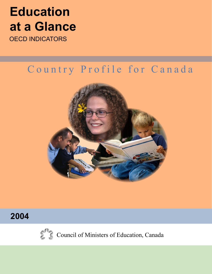# **Education at a Glance**

OECD INDICATORS

## Country Profile for Canada







Council of Ministers of Education, Canada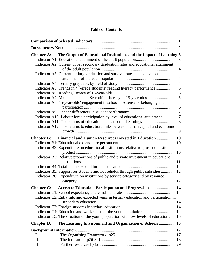#### **Table of Contents**

|                   | Chapter A: The Output of Educational Institutions and the Impact of Learning.3                                                                                |  |
|-------------------|---------------------------------------------------------------------------------------------------------------------------------------------------------------|--|
|                   |                                                                                                                                                               |  |
|                   | Indicator A2: Current upper secondary graduation rates and educational attainment                                                                             |  |
|                   |                                                                                                                                                               |  |
|                   | Indicator A3: Current tertiary graduation and survival rates and educational                                                                                  |  |
|                   |                                                                                                                                                               |  |
|                   |                                                                                                                                                               |  |
|                   | Indicator A5: Trends in 4 <sup>th</sup> -grade students' reading literacy performance5                                                                        |  |
|                   |                                                                                                                                                               |  |
|                   | Indicator A7: Mathematical and Scientific Literacy of 15-year-olds 5                                                                                          |  |
|                   | Indicator A8: 15-year-olds' engagement in school – A sense of belonging and                                                                                   |  |
|                   |                                                                                                                                                               |  |
|                   |                                                                                                                                                               |  |
|                   | Indicator A10: Labour force participation by level of educational attainment7                                                                                 |  |
|                   |                                                                                                                                                               |  |
|                   | Indicator A12: The returns to education: links between human capital and economic                                                                             |  |
|                   |                                                                                                                                                               |  |
|                   | Chapter B: Financial and Human Resources Invested in Education10                                                                                              |  |
|                   |                                                                                                                                                               |  |
|                   |                                                                                                                                                               |  |
|                   |                                                                                                                                                               |  |
|                   | Indicator B2: Expenditure on educational institutions relative to gross domestic                                                                              |  |
|                   |                                                                                                                                                               |  |
|                   | Indicator B3: Relative proportions of public and private investment in educational                                                                            |  |
|                   |                                                                                                                                                               |  |
|                   |                                                                                                                                                               |  |
|                   | Indicator B5: Support for students and households through public subsidies12<br>Indicator B6: Expenditure on institutions by service category and by resource |  |
|                   |                                                                                                                                                               |  |
|                   |                                                                                                                                                               |  |
|                   | Chapter C: Access to Education, Participation and Progression 14                                                                                              |  |
|                   |                                                                                                                                                               |  |
|                   | Indicator C2: Entry into and expected years in tertiary education and participation in                                                                        |  |
|                   |                                                                                                                                                               |  |
|                   |                                                                                                                                                               |  |
|                   | Indicator C4: Education and work status of the youth population 14                                                                                            |  |
|                   | Indicator C5: The situation of the youth population with low levels of education 15                                                                           |  |
| <b>Chapter D:</b> | The Learning Environment and Organisation of Schools 16                                                                                                       |  |
|                   |                                                                                                                                                               |  |
| Ι.                |                                                                                                                                                               |  |
| Π.<br>Ш.          |                                                                                                                                                               |  |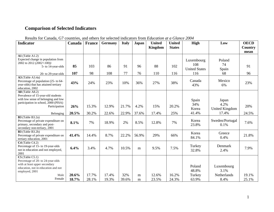### **Comparison of Selected Indicators**

#### Results for Canada, G7 countries, and others for selected indicators from *Education at a Glance 2004*

| <b>Indicator</b>                                                                                                                                                      | Canada         | France         | <b>Germany</b> | Italy          | <b>Japan</b>  | <b>United</b><br><b>Kingdom</b> | <b>United</b><br><b>States</b> | <b>High</b>                               | Low                                       | <b>OECD</b><br>Country |
|-----------------------------------------------------------------------------------------------------------------------------------------------------------------------|----------------|----------------|----------------|----------------|---------------|---------------------------------|--------------------------------|-------------------------------------------|-------------------------------------------|------------------------|
|                                                                                                                                                                       |                |                |                |                |               |                                 |                                |                                           |                                           | mean                   |
| $\overline{A1}$ (Table A1.2)<br>Expected change in population from<br>2002 to 2012 (2002=100))<br>5- to 14-year-olds                                                  | 85             | 103            | 86             | 91             | 96            | 88                              | 102                            | Luxembourg<br>108<br><b>United States</b> | Poland<br>74<br>Spain                     | 91                     |
| 20- to 29-year-olds                                                                                                                                                   | 107            | 98             | 108            | 77             | 76            | 110                             | 116                            | 116                                       | 68                                        | 96                     |
| A3 (Table A3.4a)<br>Percentage of population (25- to 64-<br>year-olds) that has attained tertiary<br>education, 2002                                                  | 43%            | 24%            | 23%            | 10%            | 36%           | 27%                             | 38%                            | Canada<br>43%                             | Mexico<br>6%                              | 23%                    |
| $A8$ (Table A8.2)<br>Prevalence of 15-year-old students<br>with low sense of belonging and low<br>participation in school, 2000 (PISA)<br>Participation               | 26%            | 15.3%<br>30.2% | 12.9%          | 21.7%<br>22.9% | 4.2%<br>37.6% | 15%<br>17.4%                    | 20.2%<br>25%                   | Spain<br>34%<br>Korea<br>41.4%            | Japan<br>4.2%<br><b>United Kingdom</b>    | 20%<br>24.5%           |
| Belonging<br>$B3$ (Table B3.2a)                                                                                                                                       | 20.5%          |                | 22.6%          |                |               |                                 |                                |                                           | 17.4%                                     |                        |
| Percentage of private expenditure on<br>primary, secondary and post-<br>secondary non-tertiary, 2001                                                                  | 8.1%           | 7%             | 18.9%          | 2%             | 8.5%          | 12.8%                           | 7%                             | Korea<br>23.8%                            | Sweden/Portugal<br>0.1%                   | 7.6%                   |
| B3 (Table B3.2b)<br>Percentage of private expenditure on<br>tertiary education, 2001                                                                                  | 41.4%          | 14.4%          | 8.7%           | 22.2%          | 56.9%         | 29%                             | 66%                            | Korea<br>84.1%                            | Greece<br>0.4%                            | 21.8%                  |
| $C4$ (Table $C4.2$ )<br>Percentage of 15- to 19-year-olds<br>not in education and not employed,<br>2001                                                               | 6.4%           | 3.4%           | 4.7%           | 10.5%          | m             | 9.5%                            | 7.5%                           | Turkey<br>32.8%                           | Denmark<br>2.4%                           | 7.9%                   |
| $C5$ (Table $C5.1$ )<br>Percentage of 20- to 24-year-olds<br>with at least upper secondary<br>education, not in education and not<br>employed, 2001<br>Male<br>Female | 20.6%<br>18.7% | 17.7%<br>28.1% | 17.4%<br>19.3% | 32%<br>39.6%   | m<br>m        | 12.6%<br>23.5%                  | 16.2%<br>24.3%                 | Poland<br>48.8%<br>Turkey<br>63.9%        | Luxembourg<br>3.1%<br>Netherlands<br>8.4% | 19.1%<br>25.1%         |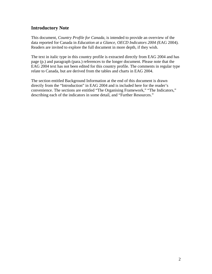#### **Introductory Note**

This document, *Country Profile for Canada*, is intended to provide an overview of the data reported for Canada in *Education at a Glance, OECD Indicators 2004 (*EAG 2004)*.*  Readers are invited to explore the full document in more depth, if they wish.

The text in italic type in this country profile is extracted directly from EAG 2004 and has page (p.) and paragraph (para.) references to the longer document. Please note that the EAG 2004 text has not been edited for this country profile. The comments in regular type relate to Canada, but are derived from the tables and charts in EAG 2004.

The section entitled Background Information at the end of this document is drawn directly from the "Introduction" in EAG 2004 and is included here for the reader's convenience. The sections are entitled "The Organising Framework," "The Indicators," describing each of the indicators in some detail, and "Further Resources."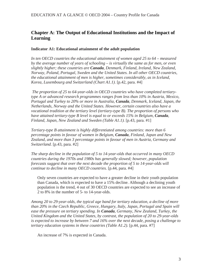#### **Chapter A: The Output of Educational Institutions and the Impact of Learning**

#### **Indicator A1: Educational attainment of the adult population**

*In ten OECD countries the educational attainment of women aged 25 to 64 – measured by the average number of years of schooling – is virtually the same as for men, or even slightly higher; these countries are Canada, Denmark, Finland, Ireland, New Zealand, Norway, Poland, Portugal, Sweden and the United States. In all other OECD countries, the educational attainment of men is higher, sometimes considerably, as in Iceland, Korea, Luxembourg and Switzerland (Chart A1.1).* [p.42, para. #4]

 *The proportion of 25 to 64-year-olds in OECD countries who have completed tertiarytype A or advanced research programmes ranges from less than 10% in Austria, Mexico, Portugal and Turkey to 20% or more in Australia, Canada, Denmark, Iceland, Japan, the Netherlands, Norway and the United States. However, certain countries also have a vocational tradition at the tertiary level (tertiary-type B). The proportion of persons who have attained tertiary-type B level is equal to or exceeds 15% in Belgium, Canada, Finland, Japan, New Zealand and Sweden (Table A1.1).* [p.43, para. #1]

*Tertiary-type B attainment is highly differentiated among countries: more than 6 percentage points in favour of women in Belgium, Canada, Finland, Japan and New Zealand, and more than 3 percentage points in favour of men in Austria, Germany and Switzerland.* [p.43, para. #2]

*The sharp decline in the population of 5 to 14-year-olds that occurred in many OECD countries during the 1970s and 1980s has generally slowed; however, population forecasts suggest that over the next decade the proportion of 5 to 14-year-olds will continue to decline in many OECD countries.* [p.44, para. #4]

Only seven countries are expected to have a greater decline in their youth population than Canada, which is expected to have a 15% decline. Although a declining youth population is the trend, 4 out of 30 OECD countries are expected to see an increase of 2 to 8% in the number of 5- to 14-year-olds.

*Among 20 to 29-year-olds, the typical age band for tertiary education, a decline of more than 20% in the Czech Republic, Greece, Hungary, Italy, Japan, Portugal and Spain will ease the pressure on tertiary spending. In Canada, Germany, New Zealand, Turkey, the United Kingdom and the United States, by contrast, the population of 20 to 29-year-olds is expected to increase by between 7 and 16% over the next decade, posing a challenge to tertiary education systems in these countries (Table A1.2).* [p.44, para. #7]

An increase of 7% is expected in Canada.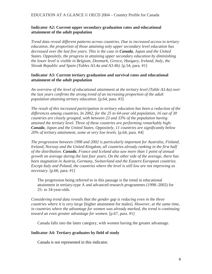#### **Indicator A2: Current upper secondary graduation rates and educational attainment of the adult population**

*Trend data reveal different patterns across countries. Due to increased access to tertiary education, the proportion of those attaining only upper secondary level education has decreased over the last five years. This is the case in Canada, Japan and the United States. Oppositely, the progress in attaining upper secondary education by diminishing the lower level is visible in Belgium, Denmark, Greece, Hungary, Ireland, Italy, the Slovak Republic and Spain (Tables A3.4a and A3.4b).* [p.54, para. #1]

#### **Indicator A3: Current tertiary graduation and survival rates and educational attainment of the adult population**

*An overview of the level of educational attainment at the tertiary level (Table A3.4a) over the last years confirms the strong trend of an increasing proportion of the adult population attaining tertiary education.* [p.64, para. #3]

*The result of this increased participation in tertiary education has been a reduction of the differences among countries. In 2002, for the 25 to 64-year old population, 16 out of 30 countries are closely grouped, with between 23 and 33% of the population having attained the tertiary level. Three of these countries are performing remarkably high: Canada, Japan and the United States. Oppositely, 11 countries are significantly below 20% of tertiary attainment, some at very low levels.* [p.64, para. #4]

*The progression between 1998 and 2002 is particularly important for Australia, Finland, Ireland, Norway and the United Kingdom, all countries already ranking in the first half of the distribution. Canada, France and Iceland also saw more than 1 point of annual growth on average during the last four years. On the other side of the average, there has been stagnation in Austria, Germany, Switzerland and the Eastern European countries. Except Italy and Poland, the countries where the level is still low are not improving as necessary.* [p.66, para. #1]

The progression being referred to in this passage is the trend in educational attainment in tertiary-type A and advanced research programmes (1998–2002) for 25- to 34-year-olds.

*Considering trend data reveals that the gender gap is reducing even in the three countries where it is very large* [higher attainment for males]*. However, at the same time, in countries where the advantage for women was already marked, the trend is continuing toward an even greater advantage for women.* [p.67, para. #1]

Canada falls into the latter category, with women having the greater advantage.

#### **Indicator A4: Tertiary graduates by field of study**

Canada is not represented in this indicator.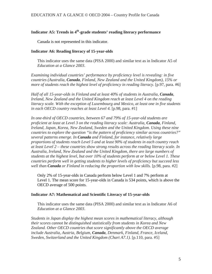#### **Indicator A5: Trends in 4<sup>th</sup>-grade students' reading literacy performance**

Canada is not represented in this indicator.

#### **Indicator A6: Reading literacy of 15-year-olds**

This indicator uses the same data (PISA 2000) and similar text as in Indicator A5 of *Education at a Glance 2003*.

*Examining individual countries' performance by proficiency level is revealing: in five countries (Australia, Canada, Finland, New Zealand and the United Kingdom), 15% or more of students reach the highest level of proficiency in reading literacy.* [p.97, para. #6]

Half of all 15-year-olds in Finland and at least 40% of students in Australia, **Canada**, *Ireland, New Zealand and the United Kingdom reach at least Level 4 on the reading literacy scale. With the exception of Luxembourg and Mexico, at least one in five students in each OECD country reaches at least Level 4.* [p.98, para. #1]

*In one-third of OECD countries, between 67 and 79% of 15-year-old students are proficient at least at Level 3 on the reading literacy scale: Australia, Canada, Finland, Ireland, Japan, Korea, New Zealand, Sweden and the United Kingdom. Using these nine countries to explore the question "is the pattern of proficiency similar across countries?" several patterns emerge. In Canada and Finland, for instance, relatively large proportions of students reach Level 5 and at least 90% of students in each country reach at least Level 2 – these countries show strong results across the reading literacy scale. In Australia, Ireland, New Zealand and the United Kingdom, there are large numbers of students at the highest level, but over 10% of students perform at or below Level 1. These countries perform well in getting students to higher levels of proficiency but succeed less well than Canada or Finland in reducing the proportion with low skills.* [p.98, para. #2]

Only 2% of 15-year-olds in Canada perform below Level 1 and 7% perform at Level 1. The mean score for 15-year-olds in Canada is 534 points, which is above the OECD average of 500 points.

#### **Indicator A7: Mathematical and Scientific Literacy of 15-year-olds**

This indicator uses the same data (PISA 2000) and similar text as in Indicator A6 of *Education at a Glance 2003*.

*Students in Japan display the highest mean scores in mathematical literacy, although their scores cannot be distinguished statistically from students in Korea and New Zealand. Other OECD countries that score significantly above the OECD average include Australia, Austria, Belgium, Canada, Denmark, Finland, France, Iceland, Sweden, Switzerland and the United Kingdom (Chart A7.1).* [p.110, para. #5]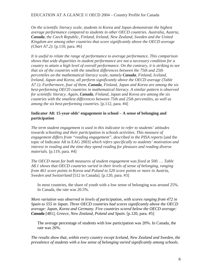*On the scientific literacy scale, students in Korea and Japan demonstrate the highest average performance compared to students in other OECD countries. Australia, Austria, Canada, the Czech Republic, Finland, Ireland, New Zealand, Sweden and the United Kingdom are among other countries that score significantly above the OECD average (Chart A7.2).* [p.110, para. #6]

*It is useful to relate the range of performance to average performance. This comparison shows that wide disparities in student performance are not a necessary condition for a country to attain a high level of overall performance. On the contrary, it is striking to see that six of the countries with the smallest differences between the 75th and 25th percentiles on the mathematical literacy scale, namely Canada, Finland, Iceland, Ireland, Japan and Korea, all perform significantly above the OECD average (Table A7.1). Furthermore, four of them, Canada, Finland, Japan and Korea are among the six best-performing OECD countries in mathematical literacy. A similar pattern is observed for scientific literacy. Again, Canada, Finland, Japan and Korea are among the six countries with the smallest differences between 75th and 25th percentiles, as well as among the six best-performing countries.* [p.112, para. #4]

#### **Indicator A8: 15-year-olds' engagement in school – A sense of belonging and participation**

*The term student engagement is used in this indicator to refer to students' attitudes towards schooling and their participation in schools activities. This measure of*  engagement differs from "reading engagement", described in the PISA reports [and the topic of Indicator A8 in EAG 2003] *which refers specifically to students' motivation and interest in reading and the time they spend reading for pleasure and reading diverse materials.* [p.119, para. #4]

*The OECD mean for both measures of student engagement was fixed at 500. … Table A8.1 shows that OECD countries varied in their levels of sense of belonging, ranging from 461 score points in Korea and Poland to 520 score points or more in Austria, Sweden and Switzerland* [512 in Canada]*.* [p.120, para. #3]

In most countries, the share of youth with a low sense of belonging was around 25%. In Canada, the rate was 20.5%.

*More variation was observed in levels of participation, with scores ranging from 472 in Spain to 555 in Japan. Three OECD countries had scores significantly above the OECD average: Japan, Korea and Germany. Five countries scored below the OECD average: Canada* [481]*, Greece, New Zealand, Poland and Spain.* [p.120, para. #5]

The average percentage of students with low participation was 20%. In Canada, the rate was 26%.

*The results show that, within every country except Iceland, New Zealand and Sweden, the prevalence of students with a low sense of belonging varied significantly among schools.*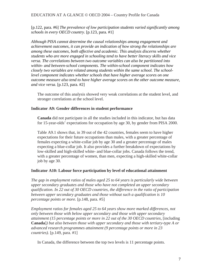[p.122, para. #6] *The prevalence of low participation students varied significantly among schools in every OECD country.* [p.123, para. #1]

*Although PISA cannot determine the causal relationships among engagement and achievement outcomes, it can provide an indication of how strong the relationships are among these outcomes, both affective and academic. This analysis discerns whether students who are more engaged in schooling tend to have better literacy skills and vice versa. The correlations between two outcome variables can also be partitioned into within- and between-school components. The within-school component indicates how closely two variables are related among students within the same school. The schoollevel component indicates whether schools that have higher average scores on one outcome measure also tend to have higher average scores on the other outcome measure, and vice versa.* [p.123, para. #2]

The outcome of this analysis showed very weak correlations at the student level, and stronger correlations at the school level.

#### **Indicator A9: Gender differences in student performance**

**Canada** did not participate in all the studies included in this indicator, but has data for 15-year-olds' expectations for occupation by age 30, by gender from PISA 2000.

Table A9.1 shows that, in 39 out of the 42 countries, females seem to have higher expectations for their future occupations than males, with a greater percentage of females expecting a white-collar job by age 30 and a greater percentage of males expecting a blue-collar job. It also provides a further breakdown of expectations by low-skilled and high-skilled white- and blue-collar jobs. Canada follows the trend, with a greater percentage of women, than men, expecting a high-skilled white-collar job by age 30.

#### **Indicator A10: Labour force participation by level of educational attainment**

*The gap in employment ratios of males aged 25 to 64 years is particularly wide between upper secondary graduates and those who have not completed an upper secondary qualification. In 22 out of 30 OECD countries, the difference in the ratio of participation between upper secondary graduates and those without such a qualification is 10 percentage points or more.* [p.148, para. #5]

*Employment ratios for females aged 25 to 64 years show more marked differences, not only between those with below upper secondary and those with upper secondary attainment (15 percentage points or more in 22 out of the 30 OECD countries,* [including **Canada**]*) but also between those with upper secondary and those with tertiary-type A or advanced research programmes attainment (9 percentage points or more in 23 countries).* [p.149, para. #1]

In Canada, the difference between the top two levels is 11 percentage points.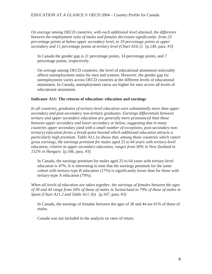#### EDUCATION AT A GLANCE © OECD 2004 – Country Profile for Canada

*On average among OECD countries, with each additional level attained, the difference between the employment ratio of males and females decreases significantly: from 23 percentage points at below upper secondary level, to 19 percentage points at upper secondary and 11 percentage points at tertiary level (Chart A10.1).* [p.149, para. #3]

In Canada the gender gap is 21 percentage points, 14 percentage points, and 7 percentage points, respectively.

On average among OECD countries, the level of educational attainment noticeably affects unemployment ratios for men and women. However, the gender gap for unemployment varies across OECD countries at the different levels of educational attainment. In Canada, unemployment ratios are higher for men across all levels of educational attainment.

#### **Indicator A11: The returns of education: education and earnings**

*In all countries, graduates of tertiary-level education earn substantially more than upper secondary and post-secondary non-tertiary graduates. Earnings differentials between tertiary and upper secondary education are generally more pronounced than those between upper secondary and lower secondary or below, suggesting that in many countries upper secondary (and with a small number of exceptions, post-secondary nontertiary) education forms a break-point beyond which additional education attracts a particularly high premium. Table A11.1a shows that, among those countries which report gross earnings, the earnings premium for males aged 25 to 64 years with tertiary-level education, relative to upper secondary education, ranges from 30% in New Zealand to 152% in Hungary.* [p.166, para. #3]

In Canada, the earnings premium for males aged 25 to 64 years with tertiary-level education is 47%. It is interesting to note that the earnings premium for the same cohort with tertiary-type B education (17%) is significantly lower than for those with tertiary-type A education (79%).

*When all levels of education are taken together, the earnings of females between the ages of 30 and 44 range from 50% of those of males in Switzerland to 79% of those of males in Spain (Chart A11.2 and Table A11.1b).* [p.167, para. #3]

In Canada, the earnings of females between the ages of 30 and 44 are 61% of those of males.

Canada was not included in the analysis on rates of return.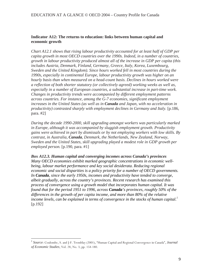#### **Indicator A12: The returns to education: links between human capital and economic growth**

*Chart A12.1 shows that rising labour productivity accounted for at least half of GDP per capita growth in most OECD countries over the 1990s. Indeed, in a number of countries, growth in labour productivity produced almost all of the increase in GDP per capita (this includes Austria, Denmark, Finland, Germany, Greece, Italy, Korea, Luxembourg, Sweden and the United Kingdom). Since hours worked fell in most countries during the 1990s, especially in continental Europe, labour productivity growth was higher on an hourly basis than when measured on a head-count basis. Declines in hours worked were a reflection of both shorter statutory (or collectively agreed) working weeks as well as, especially in a number of European countries, a substantial increase in part-time work. Changes in productivity trends were accompanied by different employment patterns across countries. For instance, among the G-7 economies, significant employment increases in the United States (as well as in Canada and Japan, with no acceleration in productivity) contrasted sharply with employment declines in Germany and Italy.* [p.186, para. #2]

*During the decade 1990-2000, skill upgrading amongst workers was particularly marked in Europe, although it was accompanied by sluggish employment growth. Productivity gains were achieved in part by dismissals or by not employing workers with low skills. By contrast, in Australia, Canada, Denmark, the Netherlands, New Zealand, Norway, Sweden and the United States, skill upgrading played a modest role in GDP growth per employed person.* [p.190, para. #1]

*Box A12.3. Human capital and converging incomes across Canada's provinces Many OECD economies exhibit marked geographic concentrations in economic wellbeing, labour market performance and key social desiderata. Reducing regional economic and social disparities is a policy priority for a number of OECD governments. In Canada, since the early 1950s, incomes and productivity have tended to converge, albeit gradually, across the country's provinces. Recent research has examined this process of convergence using a growth model that incorporates human capital. It was found that for the period 1951 to 1996, across Canada's provinces, roughly 50% of the differences in the growth of per capita income, and more than 80% of the relative income levels, can be explained in terms of convergence in the stocks of human capital.*<sup>1</sup> [p.192]

 $\overline{a}$ 

<sup>1</sup> *Source*: Coulombe, S. and J-F. Tremblay (2001), "Human Capital and Regional Convergence in Canada", *Journal of Economic Studies*, Vol. 28, No. 3, pp. 154-180.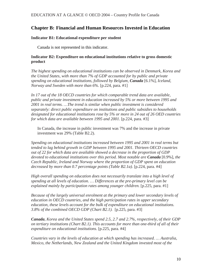#### **Chapter B: Financial and Human Resources Invested in Education**

#### **Indicator B1: Educational expenditure per student**

Canada is not represented in this indicator.

#### **Indicator B2: Expenditure on educational institutions relative to gross domestic product**

*The highest spending on educational institutions can be observed in Denmark, Korea and the United States, with more than 7% of GDP accounted for by public and private spending on educational institutions, followed by Belgium, Canada* [6.1%], *Iceland, Norway and Sweden with more than 6%.* [p.224, para. #1]

*In 17 out of the 18 OECD countries for which comparable trend data are available, public and private investment in education increased by 5% or more between 1995 and 2001 in real terms. …The trend is similar when public investment is considered separately: direct public expenditure on institutions and public subsidies to households designated for educational institutions rose by 5% or more in 24 out of 26 OED countries for which data are available between 1995 and 2001.* [p.224, para. #3]

In Canada, the increase in public investment was 7% and the increase in private investment was 29% (Table B2.2).

*Spending on educational institutions increased between 1995 and 2001 in real terms but tended to lag behind growth in GDP between 1995 and 2001. Thirteen OECD countries out of 22 for which data are available showed a decrease in the proportion of GDP devoted to educational institutions over this period. Most notable are Canada* [0.9%], *the Czech Republic, Ireland and Norway where the proportion of GDP spent on education decreased by more than 0.7 percentage points (Table B2.1a).* [p.224, para. #4]

*High overall spending on education does not necessarily translate into a high level of spending at all levels of education. … Differences at the pre-primary level can be explained mainly by participation rates among younger children.* [p.225, para. #1]

*Because of the largely universal enrolment at the primary and lower secondary levels of education in OECD countries, and the high participation rates in upper secondary education, these levels account for the bulk of expenditure on educational institutions. 3.8% of the combined OECD GDP (Chart B2.1).* [p.225, para. #3]

*Canada, Korea and the United States spend 2.5, 2.7 and 2.7%, respectively, of their GDP on tertiary institutions (Chart B2.1). This accounts for more than one-third of all of their expenditure on educational institutions.* [p.225, para. #4]

*Countries vary in the levels of education at which spending has increased. … Australia, Mexico, the Netherlands, New Zealand and the United Kingdom invested most of the*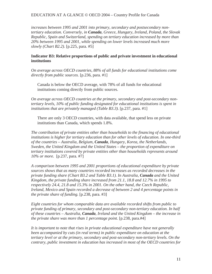#### EDUCATION AT A GLANCE © OECD 2004 – Country Profile for Canada

*increases between 1995 and 2001 into primary, secondary and postsecondary nontertiary education. Conversely, in Canada, Greece, Hungary, Ireland, Poland, the Slovak Republic, Spain and Switzerland, spending on tertiary education increased by more than 20% between 1995 and 2001, while spending on lower levels increased much more slowly (Chart B2.2).* [p.225, para. #5]

#### **Indicator B3: Relative proportions of public and private investment in educational institutions**

*On average across OECD countries, 88% of all funds for educational institutions come directly from public sources.* [p.236, para. #1]

Canada is below the OECD average, with 78% of all funds for educational institutions coming directly from public sources.

*On average across OECD countries at the primary, secondary and post-secondary nontertiary levels, 10% of public funding designated for educational institutions is spent in institutions that are privately managed (Table B3.3).* [p.237, para. #1]

There are only 3 OECD countries, with data available, that spend less on private institutions than Canada, which spends 1.8%.

*The contribution of private entities other than households to the financing of educational institutions is higher for tertiary education than for other levels of education. In one-third of the countries – Australia, Belgium, Canada, Hungary, Korea, the Netherlands, Sweden, the United Kingdom and the United States – the proportion of expenditure on tertiary institutions covered by private entities other than households represents around 10% or more.* [p.237, para. #7]

*A comparison between 1995 and 2001 proportions of educational expenditure by private sources shows that as many countries recorded increases as recorded decreases in the private funding share (Chart B3.2 and Table B3.1). In Australia, Canada and the United Kingdom, the private funding share increased from 21.1, 18.8 and 12.7% in 1995 to respectively 24.4, 21.8 and 15.3% in 2001. On the other hand, the Czech Republic, Ireland, Mexico and Spain recorded a decrease of between 2 and 4 percentage points in the private share of funding.* [p.238, para. #3]

*Eight countries for whom comparable data are available recorded shifts from public to private funding of primary, secondary and post-secondary non-tertiary education. In half of these countries – Australia, Canada, Ireland and the United Kingdom – the increase in the private share was more than 1 percentage point.* [p.238, para.#4]

*It is important to note that rises in private educational expenditure have not generally been accompanied by cuts (in real terms) in public expenditure on education at the tertiary level or at the primary, secondary and post-secondary non-tertiary levels. On the contrary, public investment in education has increased in most of the OECD countries for*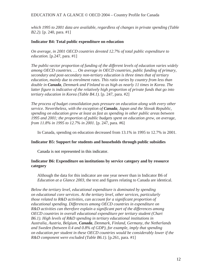EDUCATION AT A GLANCE © OECD 2004 – Country Profile for Canada

*which 1995 to 2001 data are available, regardless of changes in private spending (Table B2.2).* [p. 240, para. #1]

#### **Indicator B4: Total public expenditure on education**

*On average, in 2001 OECD countries devoted 12.7% of total public expenditure to education.* [p.247, para. #1]

*The public-sector proportion of funding of the different levels of education varies widely among OECD countries. … On average in OECD countries, public funding of primary, secondary and post-secondary non-tertiary education is three times that of tertiary education, mainly due to enrolment rates. This ratio varies by country from less than double in Canada, Denmark and Finland to as high as nearly 11 times in Korea. The latter figure is indicative of the relatively high proportion of private funds that go into tertiary education in Korea (Table B4.1).* [p. 247, para. #2]

*The process of budget consolidation puts pressure on education along with every other service. Nevertheless, with the exception of Canada, Japan and the Slovak Republic, spending on education grew at least as fast as spending in other public areas between 1995 and 2001; the proportion of public budgets spent on education grew, on average, from 11.8% in 1995 to 12.7% in 2001.* [p. 247, para. #6]

In Canada, spending on education decreased from 13.1% in 1995 to 12.7% in 2001.

#### **Indicator B5: Support for students and households through public subsidies**

Canada is not represented in this indicator.

#### **Indicator B6: Expenditure on institutions by service category and by resource category**

Although the data for this indicator are one year newer than in Indicator B6 of *Education at a Glance 2003*, the text and figures relating to Canada are identical.

*Below the tertiary level, educational expenditure is dominated by spending on educational core services. At the tertiary level, other services, particularly those related to R&D activities, can account for a significant proportion of educational spending. Differences among OECD countries in expenditure on R&D activities can therefore explain a significant part of the differences among OECD countries in overall educational expenditure per tertiary student (Chart B6.1). High levels of R&D spending in tertiary educational institutions in Australia, Austria, Belgium, Canada, Denmark, Finland, Germany, the Netherlands and Sweden (between 0.4 and 0.8% of GDP), for example, imply that spending on education per student in these OECD countries would be considerably lower if the R&D component were excluded (Table B6.1).* [p.261, para. #1]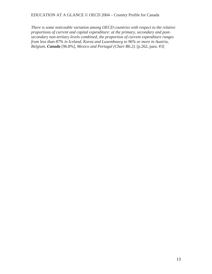*There is some noticeable variation among OECD countries with respect to the relative proportions of current and capital expenditure: at the primary, secondary and postsecondary non-tertiary levels combined, the proportion of current expenditure ranges from less than 87% in Iceland, Korea and Luxembourg to 96% or more in Austria, Belgium, Canada* [96.8%]*, Mexico and Portugal (Chart B6.2).* [p.262, para. #3]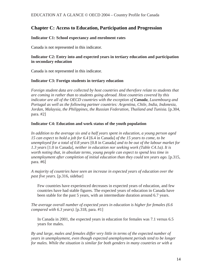#### **Chapter C: Access to Education, Participation and Progression**

#### **Indicator C1: School expectancy and enrolment rates**

Canada is not represented in this indicator.

**Indicator C2: Entry into and expected years in tertiary education and participation in secondary education** 

Canada is not represented in this indicator.

#### **Indicator C3: Foreign students in tertiary education**

*Foreign student data are collected by host countries and therefore relate to students that are coming in rather than to students going abroad. Host countries covered by this indicator are all of the OECD countries with the exception of Canada, Luxembourg and Portugal as well as the following partner countries: Argentina, Chile, India, Indonesia,*  Jordan, Malaysia, the Philippines, the Russian Federation, Thailand and Tunisia. [p.304, para. #2]

#### **Indicator C4: Education and work status of the youth population**

*In addition to the average six and a half years spent in education, a young person aged 15 can expect to hold a job for 6.4* [6.4 in Canada] *of the 15 years to come, to be unemployed for a total of 0.8 years* [0.8 in Canada] *and to be out of the labour market for 1.3 years* [1.0 in Canada], *neither in education nor seeking work (Table C4.1a). It is worth noting that, in absolute terms, young people can expect to spend less time in unemployment after completion of initial education than they could ten years ago.* [p.315, para. #6]

*A majority of countries have seen an increase in expected years of education over the past five years.* [p.316, sidebar]

Few countries have experienced decreases in expected years of education, and few countries have had stable figures. The expected years of education in Canada have been stable for the past 5 years, with an intermediate duration around 6.7 years.

*The average overall number of expected years in education is higher for females (6.6 compared with 6.3 years).* [p.318, para. #1]

In Canada in 2001, the expected years in education for females was 7.1 versus 6.5 years for males.

*By and large, males and females differ very little in terms of the expected number of years in unemployment, even though expected unemployment periods tend to be longer for males. While the situation is similar for both genders in many countries or with a*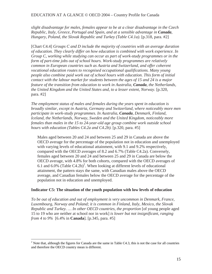*slight disadvantage for males, females appear to be at a clear disadvantage in the Czech Republic, Italy, Greece, Portugal and Spain, and at a sensible advantage in Canada, Hungary, Poland, the Slovak Republic and Turkey (Table C4.1a).* [p.318, para. #2]

[Chart C4.4] *Groups C and D include the majority of countries with an average duration of education. They clearly differ on how education is combined with work experience. In Group C, working while studying can occur as part of work-study programmes or in the form of part-time jobs out of school hours. Work-study programmes are relatively common in European countries such as Austria and Switzerland, and offer coherent vocational education routes to recognised occupational qualifications. Many young people also combine paid work out of school hours with education. This form of initial contact with the labour market for students between the ages of 15 and 24 is a major feature of the transition from education to work in Australia, Canada, the Netherlands, the United Kingdom and the United States and, to a lesser extent, Norway.* [p.320, para. #2]

*The employment status of males and females during the years spent in education is broadly similar, except in Austria, Germany and Switzerland, where noticeably more men participate in work-study programmes. In Australia, Canada, Denmark, Finland, Iceland, the Netherlands, Norway, Sweden and the United Kingdom, noticeably more females than males in the 15 to 24-year-old age group combine work outside school hours with education (Tables C4.2a and C4.2b).* [p.320, para. #5]

Males aged between 20 and 24 and between 25 and 29 in Canada are above the OECD average for the percentage of the population not in education and unemployed with varying levels of educational attainment, with 9.1 and 9.2% respectively, compared with the OECD averages of 8.2 and 6.7% (Table C4.2a). Conversely, females aged between 20 and 24 and between 25 and 29 in Canada are below the OECD average, with 4.8% for both cohorts, compared with the OECD averages of 6.1 and  $6.0\%$  (Table C4.2b)<sup>2</sup>. When looking at different levels of educational attainment, the pattern stays the same, with Canadian males above the OECD average, and Canadian females below the OECD average for the percentage of the population not in education and unemployed.

#### **Indicator C5: The situation of the youth population with low levels of education**

*To be out of education and out of employment is very uncommon in Denmark, France, Luxembourg, Norway and Poland; it is common in Finland, Italy, Mexico, the Slovak Republic and Turkey. ... In other OECD countries, the proportion* [of young people aged 15 to 19 who are neither at school nor in work] *is lower but not insignificant, ranging from 4 to 9%* [6.4% in **Canada**]. [p.345, para. #5]

 $\overline{a}$ 

<sup>&</sup>lt;sup>2</sup> Note that, although the figures for Canada are the same in Table C4.3, this is not the case for all countries and therefore the OECD country mean is different.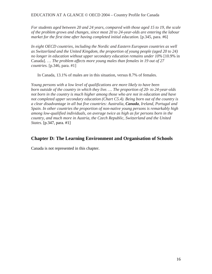EDUCATION AT A GLANCE © OECD 2004 – Country Profile for Canada

*For students aged between 20 and 24 years, compared with those aged 15 to 19, the scale of the problem grows and changes, since most 20 to 24-year-olds are entering the labour market for the first time after having completed initial education.* [p.345, para. #6]

*In eight OECD countries, including the Nordic and Eastern European countries as well as Switzerland and the United Kingdom, the proportion of young people (aged 20 to 24) no longer in education without upper secondary education remains under 10%* [10.9% in Canada]. … *The problem affects more young males than females in 19 out of 27 countries.* [p.346, para. #1]

In Canada, 13.1% of males are in this situation, versus 8.7% of females.

*Young persons with a low level of qualifications are more likely to have been born outside of the country in which they live. … The proportion of 20- to 24-year-olds not born in the country is much higher among those who are not in education and have not completed upper secondary education (Chart C5.4). Being born out of the country is a clear disadvantage in all but five countries: Australia, Canada, Ireland, Portugal and Spain. In other countries the proportion of non-native young persons is remarkably high among low-qualified individuals, on average twice as high as for persons born in the country, and much more in Austria, the Czech Republic, Switzerland and the United States.* [p.347, para. #1]

#### **Chapter D: The Learning Environment and Organisation of Schools**

Canada is not represented in this chapter.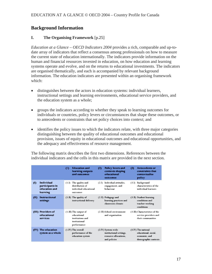#### **Background Information**

#### **I. The Organising Framework** [p.25]

*Education at a Glance – OECD Indicators 2004* provides a rich, comparable and up-todate array of indicators that reflect a consensus among professionals on how to measure the current state of education internationally. The indicators provide information on the human and financial resources invested in education, on how education and learning systems operate and evolve, and on the returns to educational investments. The indicators are organised thematically, and each is accompanied by relevant background information. The education indicators are presented within an organising framework which:

- distinguishes between the actors in education systems: individual learners, instructional settings and learning environments, educational service providers, and the education system as a whole;
- groups the indicators according to whether they speak to learning outcomes for individuals or countries, policy levers or circumstances that shape these outcomes, or to antecedents or constraints that set policy choices into context; and
- identifies the policy issues to which the indicators relate, with three major categories distinguishing between the quality of educational outcomes and educational provision, issues of equity in educational outcomes and educational opportunities, and the adequacy and effectiveness of resource management.

The following matrix describes the first two dimensions. References between the individual indicators and the cells in this matrix are provided in the next section.

|                |                                                            | $\left(1\right)$ | <b>Education and</b><br>learning outputs<br>and outcomes                                 | (2)   | <b>Policy levers and</b><br>contexts shaping<br>educational<br>outcomes                | (3)   | <b>Antecedents or</b><br>constraints that<br>contextualise<br>policy                   |
|----------------|------------------------------------------------------------|------------------|------------------------------------------------------------------------------------------|-------|----------------------------------------------------------------------------------------|-------|----------------------------------------------------------------------------------------|
| $(\mathbf{I})$ | Individual<br>participants in<br>education and<br>learning |                  | (1.1) The quality and<br>distribution of<br>individual educational<br>outcomes           | (2,1) | Individual attitudes,<br>engagement, and<br>behaviour                                  | (3.1) | Background<br>characteristics of the<br>individual learners                            |
| (II)           | Instructional<br>settings                                  |                  | (1.II) The quality of<br>instructional delivery                                          |       | $(2.II)$ Pedagogy and<br>learning practices and<br>classroom climate                   |       | (3.II) Student learning<br>conditions and<br>teacher working<br><i>conditions</i>      |
|                | (III) Providers of<br>educational<br>services              |                  | (1.III) The output of<br>educational<br>institutions and<br>institutional<br>performance |       | $(2.\Pi\Gamma)$ School environment<br>and organisation                                 |       | (3.III) Characteristics of the<br>service providers and<br>their communities           |
| (IV)           | The education<br>system as a whole                         |                  | $(1.IV)$ The overall<br>performance of the<br>education system                           |       | (2.IV) System-wide<br>institutional settings,<br>resource allocations.<br>and policies |       | $(3.1V)$ The national<br>educational, social,<br>economic, and<br>demographic contexts |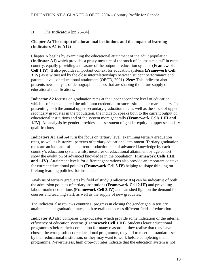#### **II. The Indicators** [pp.26–34]

#### **Chapter A: The output of educational institutions and the impact of learning (Indicators A1 to A12)**

Chapter A begins by examining the educational attainment of the adult population **(Indicator A1)** which provides a proxy measure of the stock of "human capital" in each country, equally providing a measure of the output of education systems **(Framework Cell 1.IV).** It also provides important context for education systems **(Framework Cell 3.IV)** as is witnessed by the close interrelationships between student performance and parental levels of educational attainment (OECD, 2001). *New:* This indicator also presents new analysis of demographic factors that are shaping the future supply of educational qualifications.

**Indicator A2** focuses on graduation rates at the upper secondary level of education which is often considered the minimum credential for successful labour market entry. In presenting both the annual upper secondary graduation rate as well as the stock of upper secondary graduates in the population, the indicator speaks both to the current output of educational institutions and of the system more generally **(Framework Cells 1.III and 1.IV**). An analysis by gender provides an assessment of gender equity in upper secondary qualifications.

**Indicators A3 and A4** turn the focus on tertiary level, examining tertiary graduation rates, as well as historical patterns of tertiary educational attainment. Tertiary graduation rates are an indicator of the current production rate of advanced knowledge by each country's education system whilst measures of educational attainment by age cohort show the evolution of advanced knowledge in the population **(Framework Cells 1.III and 1.IV)**. Attainment levels for different generations also provide an important context for current educational policies **(Framework Cell 3.IV)** helping to shape thinking on lifelong learning policies, for instance.

Analysis of tertiary graduates by field of study **(Indicator A4)** can be indicative of both the admission policies of tertiary institutions **(Framework Cell 2.III)** and prevailing labour market conditions **(Framework Cell 3.IV)** and can shed light on the demand for courses and teaching staff, as well as the supply of new graduates.

The indicator also reviews countries' progress in closing the gender gap in tertiary attainment and graduation rates, both overall and across different fields of education.

**Indicator A3** also compares drop-out rates which provide some indication of the internal efficiency of education systems **(Framework Cell 1.III)**. Students leave educational programmes before their completion for many reasons — they realise that they have chosen the wrong subject or educational programme, they fail to meet the standards set by their educational institution, or they may want to work before completing their programme. Nevertheless, high drop-out rates indicate that the education system is not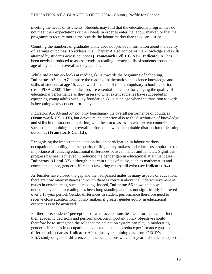meeting the needs of its clients. Students may find that the educational programmes do not meet their expectations or their needs in order to enter the labour market, or that the programmes require more time outside the labour market than they can justify.

Counting the numbers of graduates alone does not provide information about the quality of learning outcomes. To address this, Chapter A also compares the knowledge and skills attained by students across countries **(Framework Cell 1.I)**. *New:* **Indicator A5** has been newly introduced to assess trends in reading literacy skills of students around the age of 9 years both overall and by gender.

While **Indicator A5** looks at reading skills towards the beginning of schooling, **Indicators A6** and **A7** compare the reading, mathematics and science knowledge and skills of students at age 15, *i.e.* towards the end of their compulsory schooling period (from PISA 2000). These indicators are essential indicators for gauging the quality of educational performance as they assess to what extent societies have succeeded in equipping young adults with key foundation skills at an age when the transition to work is becoming a key concern for many.

Indicators A5, A6 and A7 not only benchmark the overall performance of countries **(Framework Cell 1.IV)**, but devote much attention also to the distribution of knowledge and skills in the student population, with the aim to assess to what extent countries succeed in combining high overall performance with an equitable distribution of learning outcomes **(Framework Cell 1.I)**.

Recognising the impact that education has on participation in labour markets, occupational mobility and the quality of life, policy makers and educators emphasise the importance of reducing educational differences between males and females. Significant progress has been achieved in reducing the gender gap in educational attainment (see **Indicators A1 and A2**), although in certain fields of study, such as mathematics and computer science, gender differences favouring males still exist (see **Indicator A4**).

As females have closed the gap and then surpassed males in many aspects of education, there are now many instances in which there is concern about the underachievement of males in certain areas, such as reading. Indeed, **Indicator A5** shows that boys' underachievement in reading has been long standing and has not significantly improved over a 10-year period. Gender differences in student performance therefore need to receive close attention from policy makers if greater gender equity in educational outcomes is to be achieved.

Furthermore, students' perceptions of what occupations lie ahead for them can affect their academic decisions and performance. An important policy objective should therefore be to strengthen the role that the education system can play in moderating gender differences in occupational expectations to help reduce performance gaps in different subject areas. **Indicator A9** begins by examining data from OECD's PISA study on gender differences in the occupations which 15-year old students expect to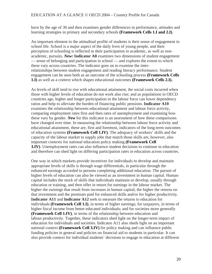have by the age of 30 and then examines gender differences in performance, attitudes and learning strategies in primary and secondary schools **(Framework Cells 1.I and 2.I)**.

An important element in the attitudinal profile of students is their sense of engagement in school life. School is a major aspect of the daily lives of young people, and their perception of schooling is reflected in their participation in academic, as well as nonacademic, pursuits. *New:* **Indicator A8** examines two dimensions of student engagement — sense of belonging and participation in school — and explores the extent to which these vary across countries. The indicator goes on to examine the interrelationships between student engagement and reading literacy performance. Student engagement can be seen both as an outcome of the schooling process **(Framework Cells 1.I)** as well as a context which shapes educational outcomes **(Framework Cells 2.I).** 

As levels of skill tend to rise with educational attainment, the social costs incurred when those with higher levels of education do not work also rise; and as populations in OECD countries age, higher and longer participation in the labour force can lower dependency ratios and help to alleviate the burden of financing public pensions. **Indicator A10**  examines the relationship between educational attainment and labour force activity, comparing employment rates first and then rates of unemployment and examining how these vary by gender. *New* for this indicator is an assessment of how these comparisons have changed over time. In measuring the relationship between labour force activity and educational attainment, these are, first and foremost, indicators of the long-term outcomes of education systems **(Framework Cell 1.IV)**. The adequacy of workers' skills and the capacity of the labour market to supply jobs that match those skills are, however, also important contexts for national education policy making **(Framework Cell 3.IV)**. Unemployment rates can also influence student decisions to continue in education and therefore can shed light on differing participation rates in education across countries.

One way in which markets provide incentives for individuals to develop and maintain appropriate levels of skills is through wage differentials, in particular through the enhanced earnings accorded to persons completing additional education. The pursuit of higher levels of education can also be viewed as an investment in human capital. Human capital includes the stock of skills that individuals maintain or develop, usually through education or training, and then offer in return for earnings in the labour market. The higher the earnings that result from increases in human capital, the higher the returns on that investment and the premium paid for enhanced skills and/or for higher productivity. **Indicator A11** and **Indicator A12** seek to measure the returns to education for individuals **(Framework Cell 1.I)**, in terms of higher earnings; for taxpayers, in terms of higher fiscal income from better educated individuals; and for societies more generally **(Framework Cell 1.IV)**, in terms of the relationship between education and labour productivity. Together, these indicators shed light on the longer-term impact of education for individuals and societies. Indicator A11 also sheds light on an important national context **(Framework Cell 3.IV)** for policy making and can influence public funding policies in general and policies on financial aid to students in particular. It can also provide context for individual students' decisions to engage in education at different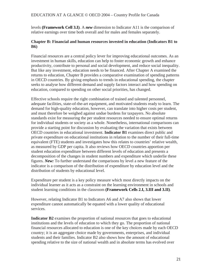levels **(Framework Cell 3.I)**. A *new* dimension to Indicator A11 is the comparison of relative earnings over time both overall and for males and females separately.

#### **Chapter B: Financial and human resources invested in education (Indicators B1 to B6)**

Financial resources are a central policy lever for improving educational outcomes. As an investment in human skills, education can help to foster economic growth and enhance productivity, contribute to personal and social development, and reduce social inequality. But like any investment, education needs to be financed. After Chapter A examined the returns to education, Chapter B provides a comparative examination of spending patterns in OECD countries. By giving emphasis to trends in educational spending, the chapter seeks to analyse how different demand and supply factors interact and how spending on education, compared to spending on other social priorities, has changed.

Effective schools require the right combination of trained and talented personnel, adequate facilities, state-of-the-art equipment, and motivated students ready to learn. The demand for high-quality education, however, can translate into higher costs per student, and must therefore be weighed against undue burdens for taxpayers. No absolute standards exist for measuring the per student resources needed to ensure optimal returns for individual students or society as a whole. Nonetheless, international comparisons can provide a starting point for discussion by evaluating the variation that exists between OECD countries in educational investment. **Indicator B1** examines direct public and private expenditure on educational institutions in relation to the number of their full-time equivalent (FTE) students and investigates how this relates to countries' relative wealth, as measured by GDP per capita. It also reviews how OECD countries apportion per student education expenditure between different levels of education and presents a decomposition of the changes in student numbers and expenditure which underlie these figures. *New:* To further understand the comparisons by level a new feature of the indicator is a comparison of the distribution of expenditure by education level and the distribution of students by educational level.

Expenditure per student is a key policy measure which most directly impacts on the individual learner as it acts as a constraint on the learning environment in schools and student learning conditions in the classroom **(Framework Cells 2.I, 3.III and 3.II)**.

However, relating Indicator B1 to Indicators A6 and A7 also shows that lower expenditure cannot automatically be equated with a lower quality of educational services.

**Indicator B2** examines the proportion of national resources that goes to educational institutions and the levels of education to which they go. The proportion of national financial resources allocated to education is one of the key choices made by each OECD country; it is an aggregate choice made by governments, enterprises, and individual students and their families. Indicator B2 also shows how the amount of educational spending relative to the size of national wealth and in absolute terms has evolved over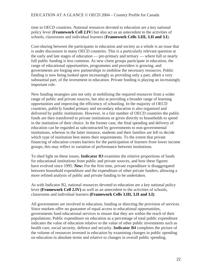time in OECD countries. National resources devoted to education are a key national policy lever (**Framework Cell 2.IV**) but also act as an antecedent to the activities of schools, classrooms and individual learners (**Framework Cells 3.III, 3.II and 3.I**).

Cost-sharing between the participants in education and society as a whole is an issue that is under discussion in many OECD countries. This is a particularly relevant question at the early and late stages of education — pre-primary and tertiary — where full or nearly full public funding is less common. As new client groups participate in education, the range of educational opportunities, programmes and providers is growing, and governments are forging new partnerships to mobilise the necessary resources. Public funding is now being looked upon increasingly as providing only a part, albeit a very substantial part, of the investment in education. Private funding is playing an increasingly important role.

New funding strategies aim not only at mobilising the required resources from a wider range of public and private sources, but also at providing a broader range of learning opportunities and improving the efficiency of schooling. In the majority of OECD countries, publicly funded primary and secondary education is also organised and delivered by public institutions. However, in a fair number of OECD countries the public funds are then transferred to private institutions or given directly to households to spend in the institution of their choice. In the former case, the final spending and delivery of education can be regarded as subcontracted by governments to non-governmental institutions, whereas in the latter instance, students and their families are left to decide which type of institution best meets their requirements. To the extent that private financing of education creates barriers for the participation of learners from lower income groups, this may reflect in variation of performance between institutions.

To shed light on these issues, **Indicator B3** examines the relative proportions of funds for educational institutions from public and private sources, and how these figures have evolved since 1995. *New:* For the first time, private expenditure is disaggregated between household expenditure and the expenditure of other private funders, allowing a more refined analysis of public and private funding to be undertaken.

As with Indicator B2, national resources devoted to education are a key national policy lever **(Framework Cell 2.IV)** as well as an antecedent to the activities of schools, classrooms and individual learners **(Framework Cells 3.III, 3.II and 3.I)**.

All governments are involved in education, funding or directing the provision of services. Since markets offer no guarantee of equal access to educational opportunities, governments fund educational services to ensure that they are within the reach of their populations. Public expenditure on education as a percentage of total public expenditure indicates the value of education relative to the value of other public investments such as health care, social security, defence and security. **Indicator B4** completes the picture of the volume of resources invested in education by examining changes in public spending on education in absolute terms and relative to changes in overall public spending.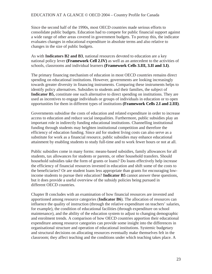Since the second half of the 1990s, most OECD countries made serious efforts to consolidate public budgets. Education had to compete for public financial support against a wide range of other areas covered in government budgets. To portray this, the indicator evaluates changes in educational expenditure in absolute terms and also relative to changes in the size of public budgets.

As with **Indicators B2 and B3**, national resources devoted to education are a key national policy lever **(Framework Cell 2.IV)** as well as an antecedent to the activities of schools, classrooms and individual learners **(Framework Cells 3.III, 3.II and 3.I)**.

The primary financing mechanism of education in most OECD countries remains direct spending on educational institutions. However, governments are looking increasingly towards greater diversity in financing instruments. Comparing these instruments helps to identify policy alternatives. Subsidies to students and their families, the subject of **Indicator B5,** constitute one such alternative to direct spending on institutions. They are used as incentives to engage individuals or groups of individuals in education or to open opportunities for them in different types of institutions **(Framework Cells 2.I and 2.III)**.

Governments subsidise the costs of education and related expenditure in order to increase access to education and reduce social inequalities. Furthermore, public subsidies play an important role in indirectly funding educational institutions. Channelling institutional funding through students may heighten institutional competition and therefore the efficiency of education funding. Since aid for student living costs can also serve as a substitute for work as a financial resource, public subsidies may enhance educational attainment by enabling students to study full-time and to work fewer hours or not at all.

Public subsidies come in many forms: means-based subsidies, family allowances for all students, tax allowances for students or parents, or other household transfers. Should household subsidies take the form of grants or loans? Do loans effectively help increase the efficiency of financial resources invested in education and shift some of the costs to the beneficiaries? Or are student loans less appropriate than grants for encouraging lowincome students to pursue their education? **Indicator B5** cannot answer these questions, but it does provide a useful overview of the subsidy policies being pursued in different OECD countries.

Chapter B concludes with an examination of how financial resources are invested and apportioned among resource categories (**Indicator B6**). The allocation of resources can influence the quality of instruction (through the relative expenditure on teachers' salaries, for example), the condition of educational facilities (through expenditure on school maintenance), and the ability of the education system to adjust to changing demographic and enrolment trends. A comparison of how OECD countries apportion their educational expenditure among resource categories can provide some insight into the differences in organisational structure and operation of educational institutions. Systemic budgetary and structural decisions on allocating resources eventually make themselves felt in the classroom; they affect teaching and the conditions under which teaching takes place. A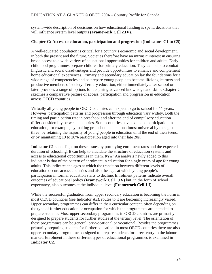system-wide description of decisions on how educational funding is spent, decisions that will influence system level outputs **(Framework Cell 2.IV)**.

#### **Chapter C: Access to education, participation and progression (Indicators C1 to C5)**

A well-educated population is critical for a country's economic and social development, in both the present and the future. Societies therefore have an intrinsic interest in ensuring broad access to a wide variety of educational opportunities for children and adults. Early childhood programmes prepare children for primary education. They can help to combat linguistic and social disadvantages and provide opportunities to enhance and complement home educational experiences. Primary and secondary education lay the foundations for a wide range of competencies and so prepare young people to become lifelong learners and productive members of society. Tertiary education, either immediately after school or later, provides a range of options for acquiring advanced knowledge and skills. Chapter C sketches a comparative picture of access, participation and progression in education across OECD countries.

Virtually all young people in OECD countries can expect to go to school for 11 years. However, participation patterns and progression through education vary widely. Both the timing and participation rate in preschool and after the end of compulsory education differ considerably between countries. Some countries have extended participation in education, for example, by making pre-school education almost universal by the age of three, by retaining the majority of young people in education until the end of their teens, or by maintaining 10 to 20% participation aged into their late 20s.

**Indicator C1** sheds light on these issues by portraying enrolment rates and the expected duration of schooling. It can help to elucidate the structure of education systems and access to educational opportunities in them. *New:* An analysis newly added to this indicator is that of the pattern of enrolment in education for single years of age for young adults. This indicates the ages at which the transition between different levels of education occurs across countries and also the ages at which young people's participation in formal education starts to decline. Enrolment patterns indicate overall outcomes of educational policy **(Framework Cell 1.IV)** but, in the form of school expectancy, also outcomes at the individual level **(Framework Cell 1.I)**.

While the successful graduation from upper secondary education is becoming the norm in most OECD countries (see Indicator A2), routes to it are becoming increasingly varied. Upper secondary programmes can differ in their curricular content, often depending on the type of further education or occupation for which the programmes are intended to prepare students. Most upper secondary programmes in OECD countries are primarily designed to prepare students for further studies at the tertiary level. The orientation of these programmes can be general, pre-vocational or vocational. Besides the programmes primarily preparing students for further education, in most OECD countries there are also upper secondary programmes designed to prepare students for direct entry to the labour market. Enrolment in these different types of educational programmes is examined in **Indicator C2**.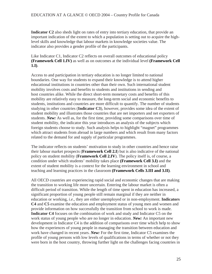**Indicator C2** also sheds light on rates of entry into tertiary education, that provide an important indication of the extent to which a population is setting out to acquire the highlevel skills and knowledge that labour markets in knowledge societies value. The indicator also provides a gender profile of the participants.

Like Indicator C1, Indicator C2 reflects on overall outcomes of educational policy **(Framework Cell 1.IV)** as well as on outcomes at the individual level **(Framework Cell 1.I)**.

Access to and participation in tertiary education is no longer limited to national boundaries. One way for students to expand their knowledge is to attend higher educational institutions in countries other than their own. Such international student mobility involves costs and benefits to students and institutions in sending and host countries alike. While the direct short-term monetary costs and benefits of this mobility are relatively easy to measure, the long-term social and economic benefits to students, institutions and countries are more difficult to quantify. The number of students studying in other countries (**Indicator C3**), however, provides some idea of the extent of student mobility and illustrates those countries that are net importers and net exporters of students. *New:* As well as, for the first time, providing some comparisons over time of student mobility, the indicator this year introduces an analysis of the subjects which foreign students choose to study. Such analysis helps to highlight "magnet" programmes which attract students from abroad in large numbers and which result from many factors related to the demand for and supply of particular programmes.

The indicator reflects on students' motivation to study in other countries and hence raise their labour market prospects (**Framework Cell 2.I**) but is also indicative of the national policy on student mobility (**Framework Cell 2.IV**). The policy itself is, of course, a condition under which students' mobility takes place **(Framework Cell 3.I)** and the extent of student mobility is a context for the learning environment in school and teaching and learning practices in the classroom **(Framework Cells 3.III and 3.II)**.

All OECD countries are experiencing rapid social and economic changes that are making the transition to working life more uncertain. Entering the labour market is often a difficult period of transition. While the length of time spent in education has increased, a significant proportion of young people still remain marginal if they are neither in education or working, *i.e*., they are either unemployed or in non-employment. **Indicators C4** and **C5** examine the education and employment status of young men and women and provide information on how successfully the transition from school to work is made. **Indicator C4** focuses on the combination of work and study and Indicator C5 on the work status of young people who are no longer in education. *New:* An important new development in Indicator C4 is the addition of comparisons over time which help to show how the experiences of young people in managing the transition between education and work have changed in recent years. *New:* For the first time, Indicator C5 examines the profile of young persons with low levels of qualifications in terms of whether or not they were born in the host country, throwing further light on the challenges facing countries in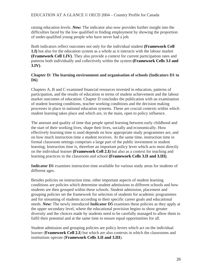raising education levels. *New:* The indicator also now provides further insight into the difficulties faced by the low qualified in finding employment by showing the proportion of under-qualified young people who have never had a job.

Both indicators reflect outcomes not only for the individual student **(Framework Cell 1.I)** but also for the education system as a whole as it interacts with the labour market **(Framework Cell 1.IV)**. They also provide a context for current participation rates and patterns both individually and collectively within the system **(Framework Cells 3.I and 3.IV)**.

#### **Chapter D: The learning environment and organisation of schools (Indicators D1 to D6)**

Chapters A, B and C examined financial resources invested in education, patterns of participation, and the results of education in terms of student achievement and the labour market outcomes of education. Chapter D concludes the publication with an examination of student learning conditions, teacher working conditions and the decision making processes in place in national education systems. These are crucial contexts within which student learning takes place and which are, in the main, open to policy influence.

The amount and quality of time that people spend learning between early childhood and the start of their working lives, shape their lives, socially and economically. How effectively learning time is used depends on how appropriate study programmes are, and on how much instruction time a student receives. At the same time, instruction time in formal classroom settings comprises a large part of the public investment in student learning. Instruction time is, therefore an important policy lever which acts most directly on the individual learner **(Framework Cell 2.I)** but also as a context for teaching and learning practices in the classroom and school **(Framework Cells 3.II and 3.III)**.

**Indicator D1** examines instruction time available for various study areas for students of different ages.

Besides policies on instruction time, other important aspects of student learning conditions are policies which determine student admissions to different schools and how students are then grouped within these schools. Student admission, placement and grouping policies set the framework for selection of students for academic programmes and for streaming of students according to their specific career goals and educational needs. *New:* The newly introduced **Indicator D5** examines these policies as they apply at the upper secondary level, where the educational provision begins to show greater diversity and the choices made by students need to be carefully managed to allow them to fulfil their potential and at the same time to ensure equal opportunities for all.

Student admission and grouping policies are policy levers which act on the individual learner (**Framework Cell 2.I**) but which are also contexts in which the classrooms and institutions operate (**Framework Cells 3.II and 3.III**).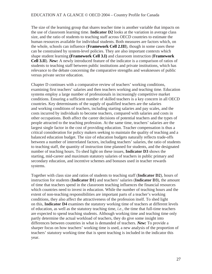The size of the learning group that shares teacher time is another variable that impacts on the use of classroom learning time. **Indicator D2** looks at the variation in average class size, and the ratio of students to teaching staff across OECD countries to estimate the human resources available for individual students. Both measures are factors which, on the whole, schools can influence (**Framework Cell 2.III**), though in some cases these can be constrained by system-level policies. They are also important contexts which shape student learning **(Framework Cell 3.I)** and classroom instruction (**Framework Cell 3.II**). *New:* A newly introduced feature of the indicator is a comparison of ratios of students to teaching staff between public institutions and private institutions, which has relevance to the debate concerning the comparative strengths and weaknesses of public versus private sector education.

Chapter D continues with a comparative review of teachers' working conditions, examining first teachers' salaries and then teachers working and teaching time. Education systems employ a large number of professionals in increasingly competitive market conditions. Ensuring a sufficient number of skilled teachers is a key concern in all OECD countries. Key determinants of the supply of qualified teachers are the salaries and working conditions of teachers, including starting salaries and pay scales, and the costs incurred by individuals to become teachers, compared with salaries and costs in other occupations. Both affect the career decisions of potential teachers and the types of people attracted to the teaching profession. At the same time, teachers' salaries are the largest single factor in the cost of providing education. Teacher compensation is thus a critical consideration for policy makers seeking to maintain the quality of teaching and a balanced education budget. The size of education budgets naturally reflects trade-offs between a number of interrelated factors, including teachers' salaries, the ratio of students to teaching staff, the quantity of instruction time planned for students, and the designated number of teaching hours. To shed light on these issues, **Indicator D3** shows the starting, mid-career and maximum statutory salaries of teachers in public primary and secondary education, and incentive schemes and bonuses used in teacher rewards systems.

Together with class size and ratios of students to teaching staff (**Indicator D2**), hours of instruction for students (**Indicator D1**) and teachers' salaries (**Indicator D3**), the amount of time that teachers spend in the classroom teaching influences the financial resources which countries need to invest in education. While the number of teaching hours and the extent of non-teaching responsibilities are important parts of a teacher's working conditions, they also affect the attractiveness of the profession itself. To shed light on this, **Indicator D4** examines the statutory working time of teachers at different levels of education, as well as the statutory teaching time, *i.e.,* the time that full-time teachers are expected to spend teaching students. Although working time and teaching time only partly determine the actual workload of teachers, they do give some insight into differences between countries in what is demanded of teachers. *New:* To provide a sharper focus on how teachers' working time is used, a new analysis of the proportion of teachers' statutory working time that is spent teaching is included in the indicator this year.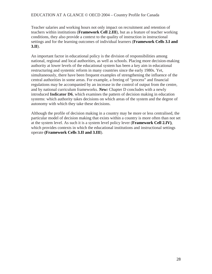Teacher salaries and working hours not only impact on recruitment and retention of teachers within institutions (**Framework Cell 2.III**), but as a feature of teacher working conditions, they also provide a context to the quality of instruction in instructional settings and for the learning outcomes of individual learners (**Framework Cells 3.I and 3.II**).

An important factor in educational policy is the division of responsibilities among national, regional and local authorities, as well as schools. Placing more decision-making authority at lower levels of the educational system has been a key aim in educational restructuring and systemic reform in many countries since the early 1980s. Yet, simultaneously, there have been frequent examples of strengthening the influence of the central authorities in some areas. For example, a freeing of "process" and financial regulations may be accompanied by an increase in the control of output from the centre, and by national curriculum frameworks. *New:* Chapter D concludes with a newly introduced **Indicator D6**, which examines the pattern of decision making in education systems: which authority takes decisions on which areas of the system and the degree of autonomy with which they take these decisions.

Although the profile of decision making in a country may be more or less centralised, the particular model of decision making that exists within a country is more often than not set at the system level. As such it is a system level policy lever (**Framework Cell 2.IV)**, which provides contexts in which the educational institutions and instructional settings operate **(Framework Cells 3.II and 3.III**).